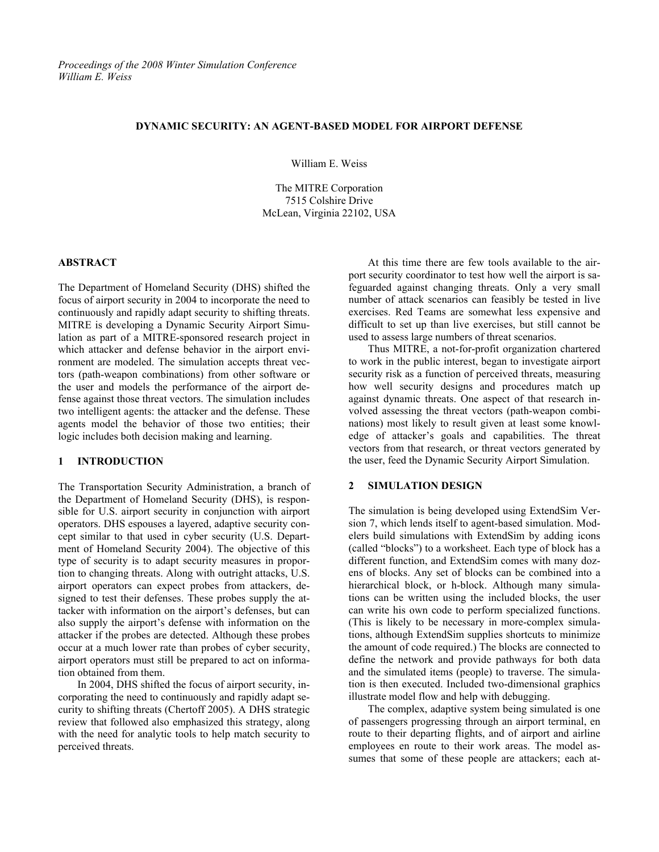#### **DYNAMIC SECURITY: AN AGENT-BASED MODEL FOR AIRPORT DEFENSE**

William E. Weiss

The MITRE Corporation 7515 Colshire Drive McLean, Virginia 22102, USA

### **ABSTRACT**

The Department of Homeland Security (DHS) shifted the focus of airport security in 2004 to incorporate the need to continuously and rapidly adapt security to shifting threats. MITRE is developing a Dynamic Security Airport Simulation as part of a MITRE-sponsored research project in which attacker and defense behavior in the airport environment are modeled. The simulation accepts threat vectors (path-weapon combinations) from other software or the user and models the performance of the airport defense against those threat vectors. The simulation includes two intelligent agents: the attacker and the defense. These agents model the behavior of those two entities; their logic includes both decision making and learning.

# **1 INTRODUCTION**

The Transportation Security Administration, a branch of the Department of Homeland Security (DHS), is responsible for U.S. airport security in conjunction with airport operators. DHS espouses a layered, adaptive security concept similar to that used in cyber security (U.S. Department of Homeland Security 2004). The objective of this type of security is to adapt security measures in proportion to changing threats. Along with outright attacks, U.S. airport operators can expect probes from attackers, designed to test their defenses. These probes supply the attacker with information on the airport's defenses, but can also supply the airport's defense with information on the attacker if the probes are detected. Although these probes occur at a much lower rate than probes of cyber security, airport operators must still be prepared to act on information obtained from them.

In 2004, DHS shifted the focus of airport security, incorporating the need to continuously and rapidly adapt security to shifting threats (Chertoff 2005). A DHS strategic review that followed also emphasized this strategy, along with the need for analytic tools to help match security to perceived threats.

At this time there are few tools available to the airport security coordinator to test how well the airport is safeguarded against changing threats. Only a very small number of attack scenarios can feasibly be tested in live exercises. Red Teams are somewhat less expensive and difficult to set up than live exercises, but still cannot be used to assess large numbers of threat scenarios.

Thus MITRE, a not-for-profit organization chartered to work in the public interest, began to investigate airport security risk as a function of perceived threats, measuring how well security designs and procedures match up against dynamic threats. One aspect of that research involved assessing the threat vectors (path-weapon combinations) most likely to result given at least some knowledge of attacker's goals and capabilities. The threat vectors from that research, or threat vectors generated by the user, feed the Dynamic Security Airport Simulation.

# **2 SIMULATION DESIGN**

The simulation is being developed using ExtendSim Version 7, which lends itself to agent-based simulation. Modelers build simulations with ExtendSim by adding icons (called "blocks") to a worksheet. Each type of block has a different function, and ExtendSim comes with many dozens of blocks. Any set of blocks can be combined into a hierarchical block, or h-block. Although many simulations can be written using the included blocks, the user can write his own code to perform specialized functions. (This is likely to be necessary in more-complex simulations, although ExtendSim supplies shortcuts to minimize the amount of code required.) The blocks are connected to define the network and provide pathways for both data and the simulated items (people) to traverse. The simulation is then executed. Included two-dimensional graphics illustrate model flow and help with debugging.

The complex, adaptive system being simulated is one of passengers progressing through an airport terminal, en route to their departing flights, and of airport and airline employees en route to their work areas. The model assumes that some of these people are attackers; each at-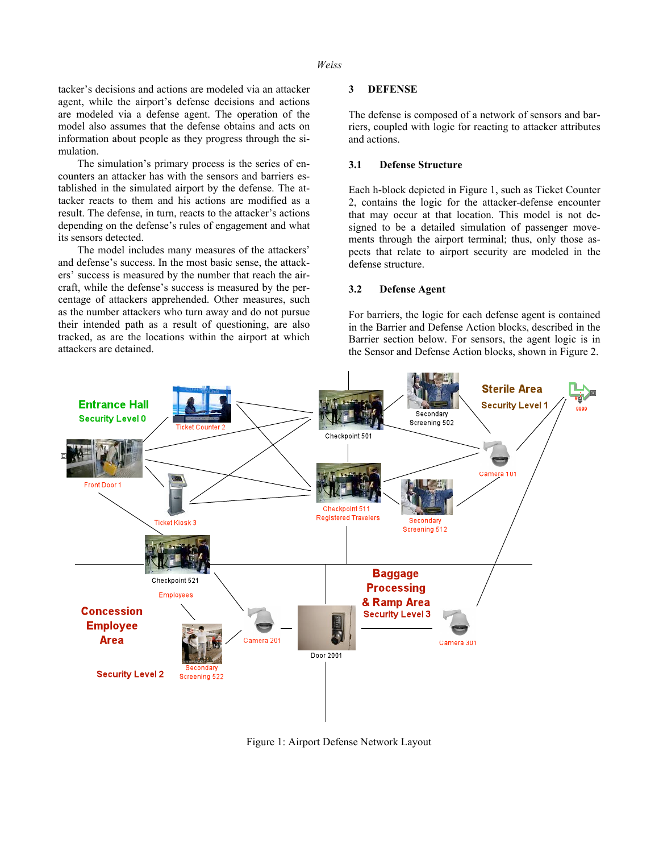### *Weiss*

tacker's decisions and actions are modeled via an attacker agent, while the airport's defense decisions and actions are modeled via a defense agent. The operation of the model also assumes that the defense obtains and acts on information about people as they progress through the simulation.

The simulation's primary process is the series of encounters an attacker has with the sensors and barriers established in the simulated airport by the defense. The attacker reacts to them and his actions are modified as a result. The defense, in turn, reacts to the attacker's actions depending on the defense's rules of engagement and what its sensors detected.

The model includes many measures of the attackers' and defense's success. In the most basic sense, the attackers' success is measured by the number that reach the aircraft, while the defense's success is measured by the percentage of attackers apprehended. Other measures, such as the number attackers who turn away and do not pursue their intended path as a result of questioning, are also tracked, as are the locations within the airport at which attackers are detained.

### **3 DEFENSE**

The defense is composed of a network of sensors and barriers, coupled with logic for reacting to attacker attributes and actions.

#### **3.1 Defense Structure**

Each h-block depicted in Figure 1, such as Ticket Counter 2, contains the logic for the attacker-defense encounter that may occur at that location. This model is not designed to be a detailed simulation of passenger movements through the airport terminal; thus, only those aspects that relate to airport security are modeled in the defense structure.

# **3.2 Defense Agent**

For barriers, the logic for each defense agent is contained in the Barrier and Defense Action blocks, described in the Barrier section below. For sensors, the agent logic is in the Sensor and Defense Action blocks, shown in Figure 2.



Figure 1: Airport Defense Network Layout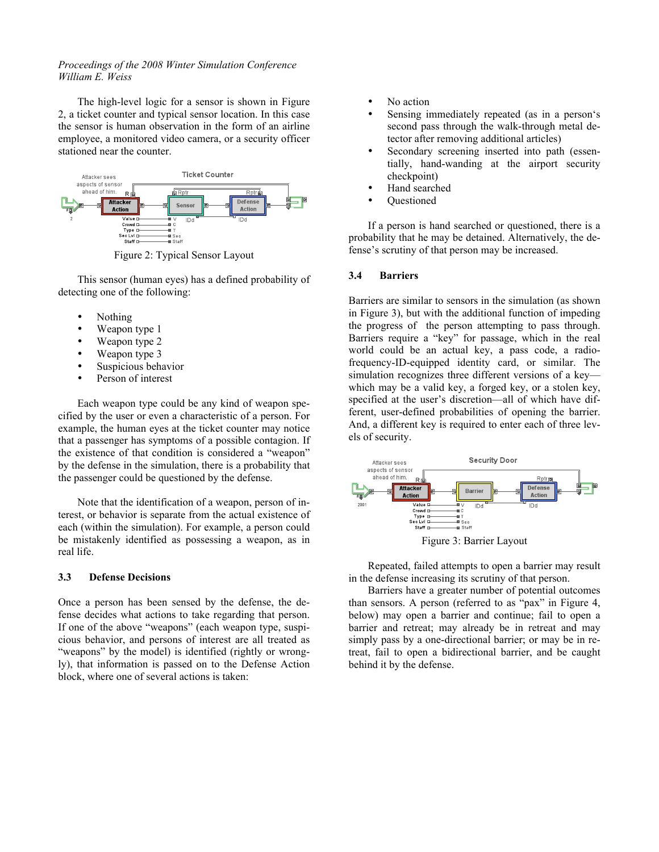# *Proceedings of the 2008 Winter Simulation Conference William E. Weiss*

The high-level logic for a sensor is shown in Figure 2, a ticket counter and typical sensor location. In this case the sensor is human observation in the form of an airline employee, a monitored video camera, or a security officer stationed near the counter.



Figure 2: Typical Sensor Layout

This sensor (human eyes) has a defined probability of detecting one of the following:

- Nothing
- Weapon type 1
- Weapon type 2
- Weapon type 3
- Suspicious behavior
- Person of interest

Each weapon type could be any kind of weapon specified by the user or even a characteristic of a person. For example, the human eyes at the ticket counter may notice that a passenger has symptoms of a possible contagion. If the existence of that condition is considered a "weapon" by the defense in the simulation, there is a probability that the passenger could be questioned by the defense.

Note that the identification of a weapon, person of interest, or behavior is separate from the actual existence of each (within the simulation). For example, a person could be mistakenly identified as possessing a weapon, as in real life.

### **3.3 Defense Decisions**

Once a person has been sensed by the defense, the defense decides what actions to take regarding that person. If one of the above "weapons" (each weapon type, suspicious behavior, and persons of interest are all treated as "weapons" by the model) is identified (rightly or wrongly), that information is passed on to the Defense Action block, where one of several actions is taken:

- No action
- Sensing immediately repeated (as in a person's second pass through the walk-through metal detector after removing additional articles)
- Secondary screening inserted into path (essentially, hand-wanding at the airport security checkpoint)
- Hand searched
- Questioned

If a person is hand searched or questioned, there is a probability that he may be detained. Alternatively, the defense's scrutiny of that person may be increased.

# **3.4 Barriers**

Barriers are similar to sensors in the simulation (as shown in Figure 3), but with the additional function of impeding the progress of the person attempting to pass through. Barriers require a "key" for passage, which in the real world could be an actual key, a pass code, a radiofrequency-ID-equipped identity card, or similar. The simulation recognizes three different versions of a key which may be a valid key, a forged key, or a stolen key, specified at the user's discretion—all of which have different, user-defined probabilities of opening the barrier. And, a different key is required to enter each of three levels of security.



Figure 3: Barrier Layout

Repeated, failed attempts to open a barrier may result in the defense increasing its scrutiny of that person.

Barriers have a greater number of potential outcomes than sensors. A person (referred to as "pax" in Figure 4, below) may open a barrier and continue; fail to open a barrier and retreat; may already be in retreat and may simply pass by a one-directional barrier; or may be in retreat, fail to open a bidirectional barrier, and be caught behind it by the defense.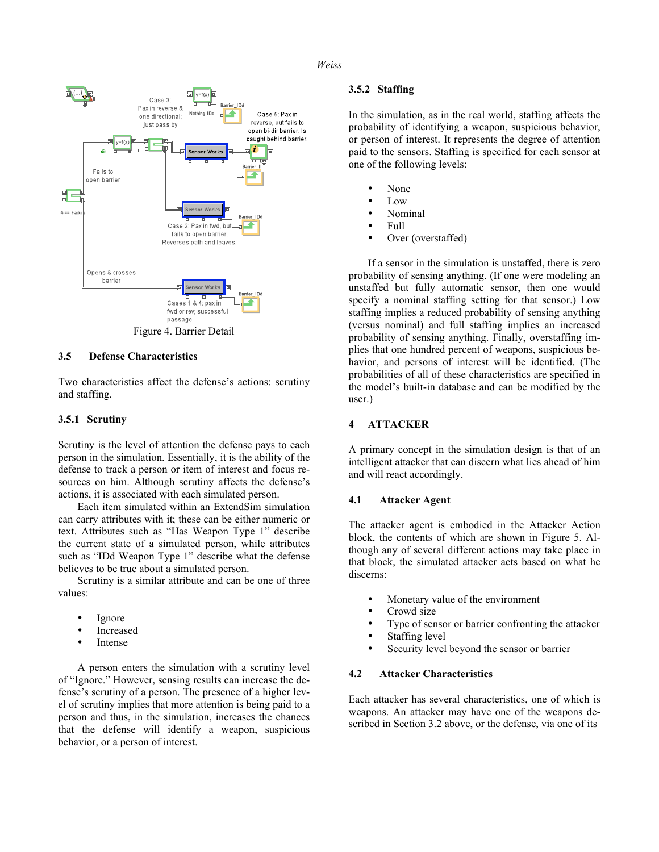#### *Weiss*



# **3.5 Defense Characteristics**

Two characteristics affect the defense's actions: scrutiny and staffing.

### **3.5.1 Scrutiny**

Scrutiny is the level of attention the defense pays to each person in the simulation. Essentially, it is the ability of the defense to track a person or item of interest and focus resources on him. Although scrutiny affects the defense's actions, it is associated with each simulated person.

Each item simulated within an ExtendSim simulation can carry attributes with it; these can be either numeric or text. Attributes such as "Has Weapon Type 1" describe the current state of a simulated person, while attributes such as "IDd Weapon Type 1" describe what the defense believes to be true about a simulated person.

Scrutiny is a similar attribute and can be one of three values:

- Ignore
- **Increased**
- **Intense**

A person enters the simulation with a scrutiny level of "Ignore." However, sensing results can increase the defense's scrutiny of a person. The presence of a higher level of scrutiny implies that more attention is being paid to a person and thus, in the simulation, increases the chances that the defense will identify a weapon, suspicious behavior, or a person of interest.

## **3.5.2 Staffing**

In the simulation, as in the real world, staffing affects the probability of identifying a weapon, suspicious behavior, or person of interest. It represents the degree of attention paid to the sensors. Staffing is specified for each sensor at one of the following levels:

- None
- Low
- Nominal
- Full
- Over (overstaffed)

If a sensor in the simulation is unstaffed, there is zero probability of sensing anything. (If one were modeling an unstaffed but fully automatic sensor, then one would specify a nominal staffing setting for that sensor.) Low staffing implies a reduced probability of sensing anything (versus nominal) and full staffing implies an increased probability of sensing anything. Finally, overstaffing implies that one hundred percent of weapons, suspicious behavior, and persons of interest will be identified. (The probabilities of all of these characteristics are specified in the model's built-in database and can be modified by the user.)

### **4 ATTACKER**

A primary concept in the simulation design is that of an intelligent attacker that can discern what lies ahead of him and will react accordingly.

#### **4.1 Attacker Agent**

The attacker agent is embodied in the Attacker Action block, the contents of which are shown in Figure 5. Although any of several different actions may take place in that block, the simulated attacker acts based on what he discerns:

- Monetary value of the environment
- Crowd size
- Type of sensor or barrier confronting the attacker
- Staffing level
- Security level beyond the sensor or barrier

# **4.2 Attacker Characteristics**

Each attacker has several characteristics, one of which is weapons. An attacker may have one of the weapons described in Section 3.2 above, or the defense, via one of its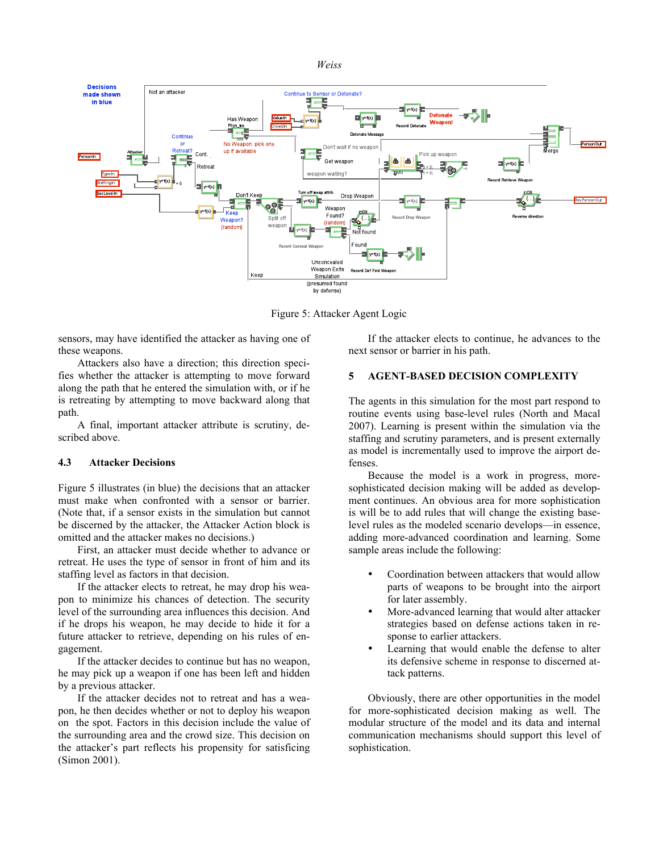



Figure 5: Attacker Agent Logic

sensors, may have identified the attacker as having one of these weapons.

Attackers also have a direction; this direction specifies whether the attacker is attempting to move forward along the path that he entered the simulation with, or if he is retreating by attempting to move backward along that path.

A final, important attacker attribute is scrutiny, described above.

### **4.3 Attacker Decisions**

Figure 5 illustrates (in blue) the decisions that an attacker must make when confronted with a sensor or barrier. (Note that, if a sensor exists in the simulation but cannot be discerned by the attacker, the Attacker Action block is omitted and the attacker makes no decisions.)

First, an attacker must decide whether to advance or retreat. He uses the type of sensor in front of him and its staffing level as factors in that decision.

If the attacker elects to retreat, he may drop his weapon to minimize his chances of detection. The security level of the surrounding area influences this decision. And if he drops his weapon, he may decide to hide it for a future attacker to retrieve, depending on his rules of engagement.

If the attacker decides to continue but has no weapon, he may pick up a weapon if one has been left and hidden by a previous attacker.

If the attacker decides not to retreat and has a weapon, he then decides whether or not to deploy his weapon on the spot. Factors in this decision include the value of the surrounding area and the crowd size. This decision on the attacker's part reflects his propensity for satisficing (Simon 2001).

If the attacker elects to continue, he advances to the next sensor or barrier in his path.

### **5 AGENT-BASED DECISION COMPLEXITY**

The agents in this simulation for the most part respond to routine events using base-level rules (North and Macal 2007). Learning is present within the simulation via the staffing and scrutiny parameters, and is present externally as model is incrementally used to improve the airport defenses.

Because the model is a work in progress, moresophisticated decision making will be added as development continues. An obvious area for more sophistication is will be to add rules that will change the existing baselevel rules as the modeled scenario develops—in essence, adding more-advanced coordination and learning. Some sample areas include the following:

- Coordination between attackers that would allow parts of weapons to be brought into the airport for later assembly.
- More-advanced learning that would alter attacker strategies based on defense actions taken in response to earlier attackers.
- Learning that would enable the defense to alter its defensive scheme in response to discerned attack patterns.

Obviously, there are other opportunities in the model for more-sophisticated decision making as well. The modular structure of the model and its data and internal communication mechanisms should support this level of sophistication.